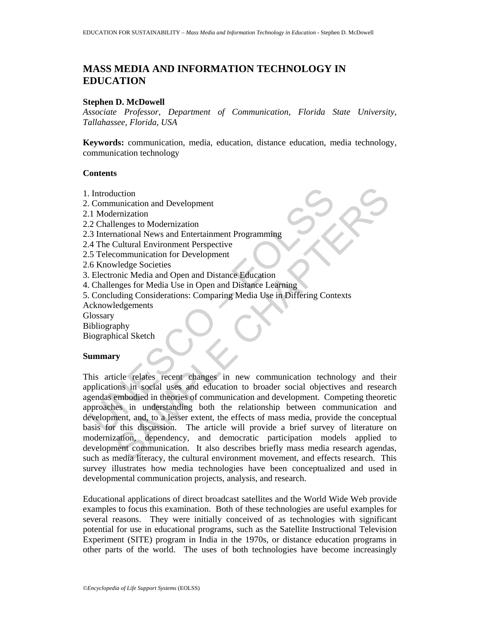# **MASS MEDIA AND INFORMATION TECHNOLOGY IN EDUCATION**

### **Stephen D. McDowell**

*Associate Professor, Department of Communication, Florida State University, Tallahassee, Florida, USA* 

**Keywords:** communication, media, education, distance education, media technology, communication technology

#### **Contents**

- 1. Introduction
- 2. Communication and Development
- 2.1 Modernization
- 2.2 Challenges to Modernization
- 2.3 International News and Entertainment Programming
- 2.4 The Cultural Environment Perspective
- 2.5 Telecommunication for Development
- 2.6 Knowledge Societies
- 3. Electronic Media and Open and Distance Education
- 4. Challenges for Media Use in Open and Distance Learning
- 5. Concluding Considerations: Comparing Media Use in Differing Contexts
- Acknowledgements
- **Glossary**
- Bibliography

Biographical Sketch

#### **Summary**

Introduction<br>
1. Modernization<br>
1. Modernization<br>
2. Challenges to Modernization<br>
3. International News and Entertainment Programming<br>
4. The Cultural Environment Perspective<br>
5. Telecommunication for Development<br>
Electron Exploration<br>
anticonal Development<br>
minization<br>
menges to Modernization<br>
communication for Development<br>
Communication for Development<br>
wedge Societies<br>
wedge Societies<br>
mone Media and Open and Distance Education<br>
magnes fo This article relates recent changes in new communication technology and their applications in social uses and education to broader social objectives and research agendas embodied in theories of communication and development. Competing theoretic approaches in understanding both the relationship between communication and development, and, to a lesser extent, the effects of mass media, provide the conceptual basis for this discussion. The article will provide a brief survey of literature on modernization, dependency, and democratic participation models applied to development communication. It also describes briefly mass media research agendas, such as media literacy, the cultural environment movement, and effects research. This survey illustrates how media technologies have been conceptualized and used in developmental communication projects, analysis, and research.

Educational applications of direct broadcast satellites and the World Wide Web provide examples to focus this examination. Both of these technologies are useful examples for several reasons. They were initially conceived of as technologies with significant potential for use in educational programs, such as the Satellite Instructional Television Experiment (SITE) program in India in the 1970s, or distance education programs in other parts of the world. The uses of both technologies have become increasingly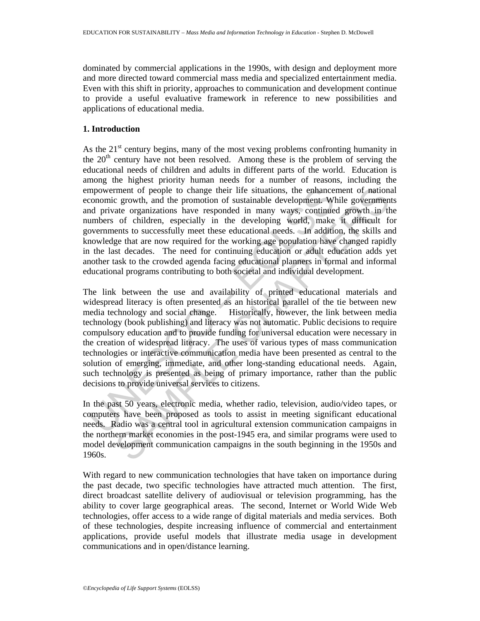dominated by commercial applications in the 1990s, with design and deployment more and more directed toward commercial mass media and specialized entertainment media. Even with this shift in priority, approaches to communication and development continue to provide a useful evaluative framework in reference to new possibilities and applications of educational media.

# **1. Introduction**

As the  $21<sup>st</sup>$  century begins, many of the most vexing problems confronting humanity in the 20<sup>th</sup> century have not been resolved. Among these is the problem of serving the educational needs of children and adults in different parts of the world. Education is among the highest priority human needs for a number of reasons, including the empowerment of people to change their life situations, the enhancement of national economic growth, and the promotion of sustainable development. While governments and private organizations have responded in many ways, continued growth in the numbers of children, especially in the developing world, make it difficult for governments to successfully meet these educational needs. In addition, the skills and knowledge that are now required for the working age population have changed rapidly in the last decades. The need for continuing education or adult education adds yet another task to the crowded agenda facing educational planners in formal and informal educational programs contributing to both societal and individual development.

mpowerment of people to change their life situations, the enhance<br>conomic growth, and the promotion of sustainable development. Who<br>and private organizations have responded in many ways, continue<br>umbers of children, especi ment of people to change their life situations, the enhancement of nationary<br>expond, and the pronotion of sustainable development. While government<br>of children, especially in the developing world, make it difficult for<br>ent The link between the use and availability of printed educational materials and widespread literacy is often presented as an historical parallel of the tie between new media technology and social change. Historically, however, the link between media technology (book publishing) and literacy was not automatic. Public decisions to require compulsory education and to provide funding for universal education were necessary in the creation of widespread literacy. The uses of various types of mass communication technologies or interactive communication media have been presented as central to the solution of emerging, immediate, and other long-standing educational needs. Again, such technology is presented as being of primary importance, rather than the public decisions to provide universal services to citizens.

In the past 50 years, electronic media, whether radio, television, audio/video tapes, or computers have been proposed as tools to assist in meeting significant educational needs. Radio was a central tool in agricultural extension communication campaigns in the northern market economies in the post-1945 era, and similar programs were used to model development communication campaigns in the south beginning in the 1950s and 1960s.

With regard to new communication technologies that have taken on importance during the past decade, two specific technologies have attracted much attention. The first, direct broadcast satellite delivery of audiovisual or television programming, has the ability to cover large geographical areas. The second, Internet or World Wide Web technologies, offer access to a wide range of digital materials and media services. Both of these technologies, despite increasing influence of commercial and entertainment applications, provide useful models that illustrate media usage in development communications and in open/distance learning.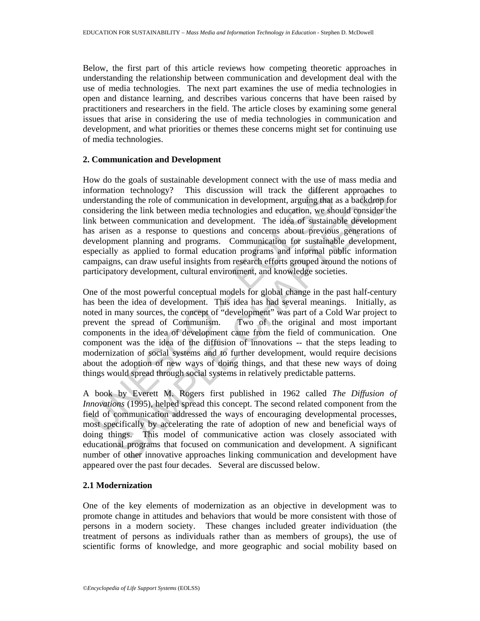Below, the first part of this article reviews how competing theoretic approaches in understanding the relationship between communication and development deal with the use of media technologies. The next part examines the use of media technologies in open and distance learning, and describes various concerns that have been raised by practitioners and researchers in the field. The article closes by examining some general issues that arise in considering the use of media technologies in communication and development, and what priorities or themes these concerns might set for continuing use of media technologies.

## **2. Communication and Development**

How do the goals of sustainable development connect with the use of mass media and information technology? This discussion will track the different approaches to understanding the role of communication in development, arguing that as a backdrop for considering the link between media technologies and education, we should consider the link between communication and development. The idea of sustainable development has arisen as a response to questions and concerns about previous generations of development planning and programs. Communication for sustainable development, especially as applied to formal education programs and informal public information campaigns, can draw useful insights from research efforts grouped around the notions of participatory development, cultural environment, and knowledge societies.

formation technology? This discussion will track the differen<br>derstanding the role of communication in development, arguing that<br>onsidering the link between media technologies and education, we she<br>host between communicati ion technology? This discussion will track the different approaches to<br>mig the role of communication in development, arguing that as a backdrop fe<br>ing the link between media technologies and education, we should consider One of the most powerful conceptual models for global change in the past half-century has been the idea of development. This idea has had several meanings. Initially, as noted in many sources, the concept of "development" was part of a Cold War project to prevent the spread of Communism. Two of the original and most important components in the idea of development came from the field of communication. One component was the idea of the diffusion of innovations -- that the steps leading to modernization of social systems and to further development, would require decisions about the adoption of new ways of doing things, and that these new ways of doing things would spread through social systems in relatively predictable patterns.

A book by Everett M. Rogers first published in 1962 called *The Diffusion of Innovations* (1995), helped spread this concept. The second related component from the field of communication addressed the ways of encouraging developmental processes, most specifically by accelerating the rate of adoption of new and beneficial ways of doing things. This model of communicative action was closely associated with educational programs that focused on communication and development. A significant number of other innovative approaches linking communication and development have appeared over the past four decades. Several are discussed below.

# **2.1 Modernization**

One of the key elements of modernization as an objective in development was to promote change in attitudes and behaviors that would be more consistent with those of persons in a modern society. These changes included greater individuation (the treatment of persons as individuals rather than as members of groups), the use of scientific forms of knowledge, and more geographic and social mobility based on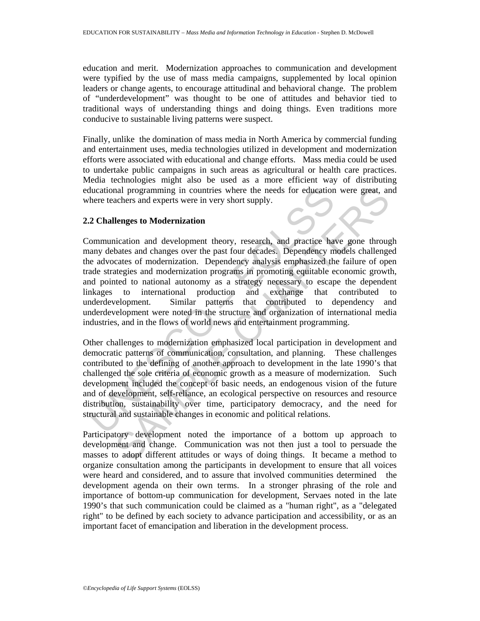education and merit. Modernization approaches to communication and development were typified by the use of mass media campaigns, supplemented by local opinion leaders or change agents, to encourage attitudinal and behavioral change. The problem of "underdevelopment" was thought to be one of attitudes and behavior tied to traditional ways of understanding things and doing things. Even traditions more conducive to sustainable living patterns were suspect.

Finally, unlike the domination of mass media in North America by commercial funding and entertainment uses, media technologies utilized in development and modernization efforts were associated with educational and change efforts. Mass media could be used to undertake public campaigns in such areas as agricultural or health care practices. Media technologies might also be used as a more efficient way of distributing educational programming in countries where the needs for education were great, and where teachers and experts were in very short supply.

## **2.2 Challenges to Modernization**

ducational programming in countries where the needs for education<br>there teachers and experts were in very short supply.<br>
2 Challenges to Modernization<br>
communication and development theory, research, and practice harmov de and programming in countries where the needs for education were great, an<br>achers and experts were in very short supply.<br> **lenges to Modernization**<br>
incation and development theory, research, and practice have gone through<br> Communication and development theory, research, and practice have gone through many debates and changes over the past four decades. Dependency models challenged the advocates of modernization. Dependency analysis emphasized the failure of open trade strategies and modernization programs in promoting equitable economic growth, and pointed to national autonomy as a strategy necessary to escape the dependent linkages to international production and exchange that contributed underdevelopment. Similar patterns that contributed to dependency and underdevelopment were noted in the structure and organization of international media industries, and in the flows of world news and entertainment programming.

Other challenges to modernization emphasized local participation in development and democratic patterns of communication, consultation, and planning. These challenges contributed to the defining of another approach to development in the late 1990's that challenged the sole criteria of economic growth as a measure of modernization. Such development included the concept of basic needs, an endogenous vision of the future and of development, self-reliance, an ecological perspective on resources and resource distribution, sustainability over time, participatory democracy, and the need for structural and sustainable changes in economic and political relations.

Participatory development noted the importance of a bottom up approach to development and change. Communication was not then just a tool to persuade the masses to adopt different attitudes or ways of doing things. It became a method to organize consultation among the participants in development to ensure that all voices were heard and considered, and to assure that involved communities determined the development agenda on their own terms. In a stronger phrasing of the role and importance of bottom-up communication for development, Servaes noted in the late 1990's that such communication could be claimed as a "human right", as a "delegated right" to be defined by each society to advance participation and accessibility, or as an important facet of emancipation and liberation in the development process.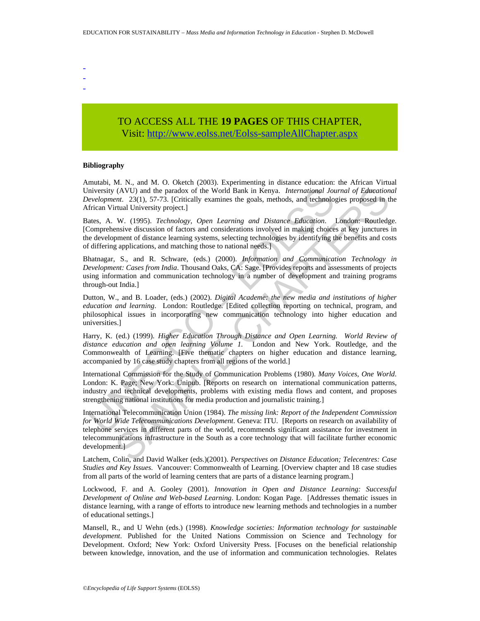- - -
- TO ACCESS ALL THE **19 PAGES** OF THIS CHAPTER, Vis[it: http://www.eolss.net/Eolss-sampleAllChapter.aspx](https://www.eolss.net/ebooklib/sc_cart.aspx?File=E6-61-05-08)

#### **Bibliography**

Amutabi, M. N., and M. O. Oketch (2003). Experimenting in distance education: the African Virtual University (AVU) and the paradox of the World Bank in Kenya. *International Journal of Educational Development*. 23(1), 57-73. [Critically examines the goals, methods, and technologies proposed in the African Virtual University project.]

Bates, A. W. (1995). *Technology, Open Learning and Distance Education*. London: Routledge. [Comprehensive discussion of factors and considerations involved in making choices at key junctures in the development of distance learning systems, selecting technologies by identifying the benefits and costs of differing applications, and matching those to national needs.]

Bhatnagar, S., and R. Schware, (eds.) (2000). *Information and Communication Technology in Development: Cases from India*. Thousand Oaks, CA: Sage. [Provides reports and assessments of projects using information and communication technology in a number of development and training programs through-out India.]

Dutton, W., and B. Loader, (eds.) (2002). *Digital Academe: the new media and institutions of higher education and learning*. London: Routledge. [Edited collection reporting on technical, program, and philosophical issues in incorporating new communication technology into higher education and universities.]

Harry, K. (ed.) (1999). *Higher Education Through Distance and Open Learning. World Review of distance education and open learning Volume 1.* London and New York. Routledge, and the Commonwealth of Learning. [Five thematic chapters on higher education and distance learning, accompanied by 16 case study chapters from all regions of the world.]

niversity (AVU) and the paradox of the World Bank in Kenya. *International Jou*<br>cevelopment. 23(1), 57-73: (Critically examines the goals, methods, and technology<br>friena Virtual University project.]<br>these, A. W. (1995). Te International Commission for the Study of Communication Problems (1980). *Many Voices, One World*. London: K. Page; New York: Unipub. [Reports on research on international communication patterns, industry and technical developments, problems with existing media flows and content, and proposes strengthening national institutions for media production and journalistic training.]

(AVU) and the paradox of the World Bank in Kenya. *International Journal of Education*<br>
rtual 20ity 57-73. [Critically examines the goals, methods, and technologies proposed in the<br>
rtual University project.]<br>
W. (1995). International Telecommunication Union (1984). *The missing link: Report of the Independent Commission for World Wide Telecommunications Development*. Geneva: ITU. [Reports on research on availability of telephone services in different parts of the world, recommends significant assistance for investment in telecommunications infrastructure in the South as a core technology that will facilitate further economic development.]

Latchem, Colin, and David Walker (eds.)(2001). *Perspectives on Distance Education; Telecentres: Case Studies and Key Issues*. Vancouver: Commonwealth of Learning. [Overview chapter and 18 case studies from all parts of the world of learning centers that are parts of a distance learning program.]

Lockwood, F. and A. Gooley (2001). *Innovation in Open and Distance Learning: Successful Development of Online and Web-based Learning*. London: Kogan Page. [Addresses thematic issues in distance learning, with a range of efforts to introduce new learning methods and technologies in a number of educational settings.]

Mansell, R., and U Wehn (eds.) (1998). *Knowledge societies: Information technology for sustainable development*. Published for the United Nations Commission on Science and Technology for Development. Oxford; New York: Oxford University Press. [Focuses on the beneficial relationship between knowledge, innovation, and the use of information and communication technologies. Relates